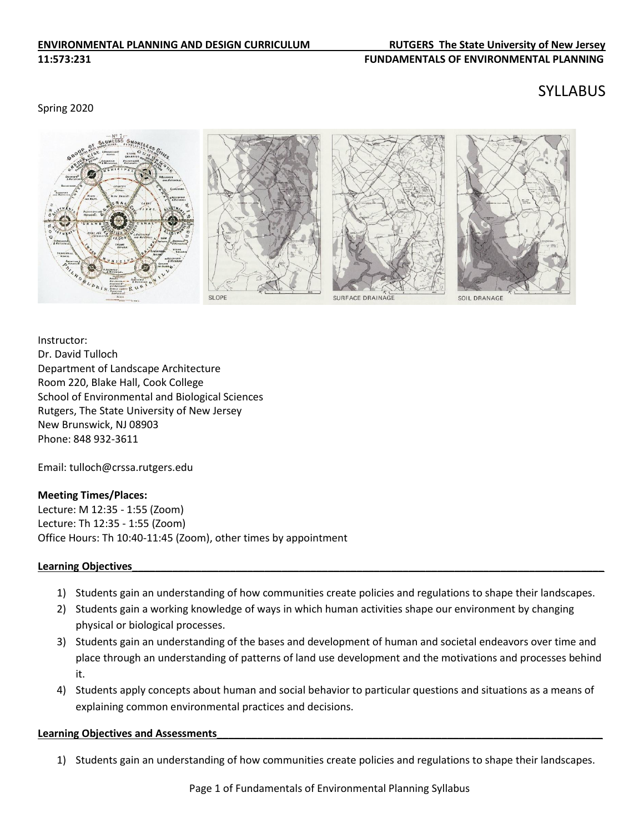#### **ENVIRONMENTAL PLANNING AND DESIGN CURRICULUM RUTGERS The State University of New Jersey 11:573:231 FUNDAMENTALS OF ENVIRONMENTAL PLANNING**

#### Spring 2020

# SYLLABUS



Instructor: Dr. David Tulloch Department of Landscape Architecture Room 220, Blake Hall, Cook College School of Environmental and Biological Sciences Rutgers, The State University of New Jersey New Brunswick, NJ 08903 Phone: 848 932-3611

Email: tulloch@crssa.rutgers.edu

# **Meeting Times/Places:**

Lecture: M 12:35 - 1:55 (Zoom) Lecture: Th 12:35 - 1:55 (Zoom) Office Hours: Th 10:40-11:45 (Zoom), other times by appointment

#### Learning Objectives

- 1) Students gain an understanding of how communities create policies and regulations to shape their landscapes.
- 2) Students gain a working knowledge of ways in which human activities shape our environment by changing physical or biological processes.
- 3) Students gain an understanding of the bases and development of human and societal endeavors over time and place through an understanding of patterns of land use development and the motivations and processes behind it.
- 4) Students apply concepts about human and social behavior to particular questions and situations as a means of explaining common environmental practices and decisions.

#### Learning Objectives and Assessments

1) Students gain an understanding of how communities create policies and regulations to shape their landscapes.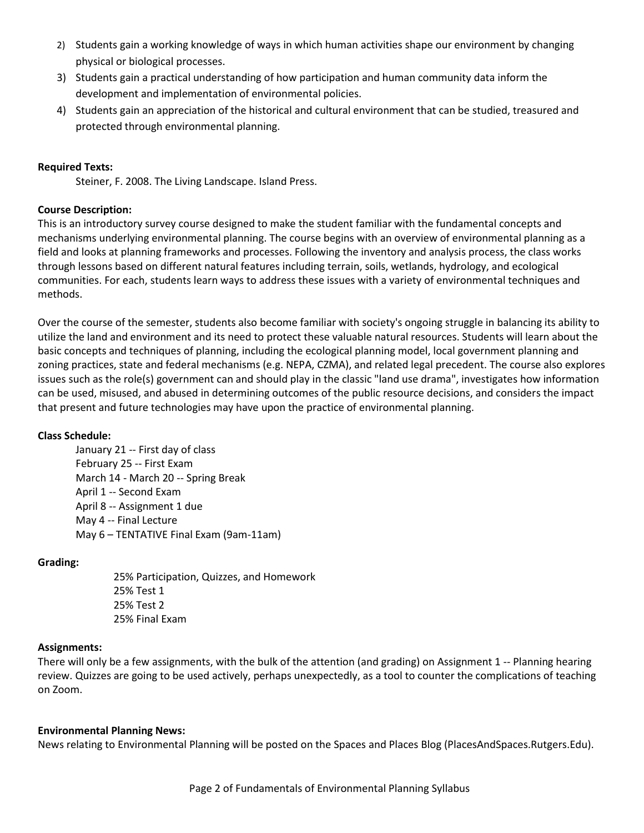- 2) Students gain a working knowledge of ways in which human activities shape our environment by changing physical or biological processes.
- 3) Students gain a practical understanding of how participation and human community data inform the development and implementation of environmental policies.
- 4) Students gain an appreciation of the historical and cultural environment that can be studied, treasured and protected through environmental planning.

# **Required Texts:**

Steiner, F. 2008. The Living Landscape. Island Press.

# **Course Description:**

This is an introductory survey course designed to make the student familiar with the fundamental concepts and mechanisms underlying environmental planning. The course begins with an overview of environmental planning as a field and looks at planning frameworks and processes. Following the inventory and analysis process, the class works through lessons based on different natural features including terrain, soils, wetlands, hydrology, and ecological communities. For each, students learn ways to address these issues with a variety of environmental techniques and methods.

Over the course of the semester, students also become familiar with society's ongoing struggle in balancing its ability to utilize the land and environment and its need to protect these valuable natural resources. Students will learn about the basic concepts and techniques of planning, including the ecological planning model, local government planning and zoning practices, state and federal mechanisms (e.g. NEPA, CZMA), and related legal precedent. The course also explores issues such as the role(s) government can and should play in the classic "land use drama", investigates how information can be used, misused, and abused in determining outcomes of the public resource decisions, and considers the impact that present and future technologies may have upon the practice of environmental planning.

# **Class Schedule:**

January 21 -- First day of class February 25 -- First Exam March 14 - March 20 -- Spring Break April 1 -- Second Exam April 8 -- Assignment 1 due May 4 -- Final Lecture May 6 – TENTATIVE Final Exam (9am-11am)

# **Grading:**

25% Participation, Quizzes, and Homework 25% Test 1 25% Test 2 25% Final Exam

# **Assignments:**

There will only be a few assignments, with the bulk of the attention (and grading) on Assignment 1 -- Planning hearing review. Quizzes are going to be used actively, perhaps unexpectedly, as a tool to counter the complications of teaching on Zoom.

# **Environmental Planning News:**

News relating to Environmental Planning will be posted on the Spaces and Places Blog (PlacesAndSpaces.Rutgers.Edu).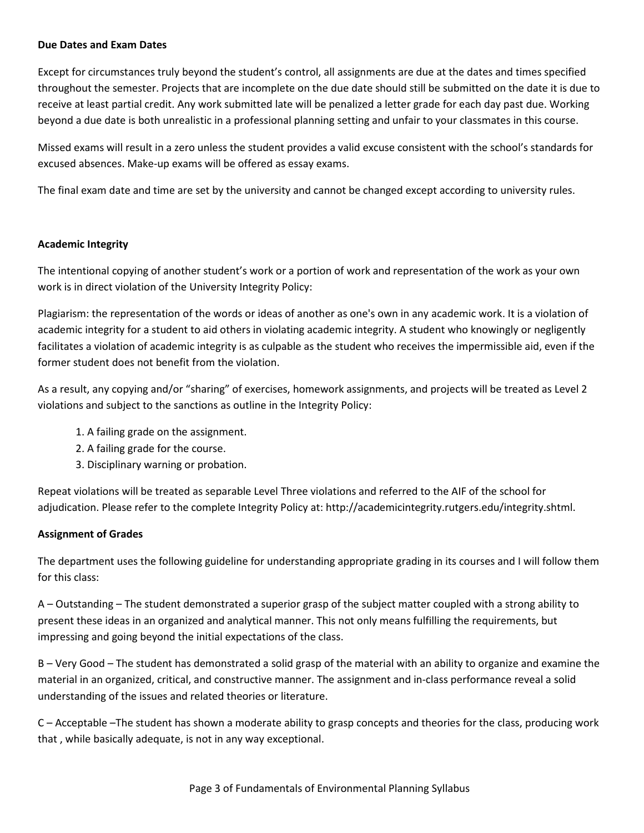# **Due Dates and Exam Dates**

Except for circumstances truly beyond the student's control, all assignments are due at the dates and times specified throughout the semester. Projects that are incomplete on the due date should still be submitted on the date it is due to receive at least partial credit. Any work submitted late will be penalized a letter grade for each day past due. Working beyond a due date is both unrealistic in a professional planning setting and unfair to your classmates in this course.

Missed exams will result in a zero unless the student provides a valid excuse consistent with the school's standards for excused absences. Make-up exams will be offered as essay exams.

The final exam date and time are set by the university and cannot be changed except according to university rules.

#### **Academic Integrity**

The intentional copying of another student's work or a portion of work and representation of the work as your own work is in direct violation of the University Integrity Policy:

Plagiarism: the representation of the words or ideas of another as one's own in any academic work. It is a violation of academic integrity for a student to aid others in violating academic integrity. A student who knowingly or negligently facilitates a violation of academic integrity is as culpable as the student who receives the impermissible aid, even if the former student does not benefit from the violation.

As a result, any copying and/or "sharing" of exercises, homework assignments, and projects will be treated as Level 2 violations and subject to the sanctions as outline in the Integrity Policy:

- 1. A failing grade on the assignment.
- 2. A failing grade for the course.
- 3. Disciplinary warning or probation.

Repeat violations will be treated as separable Level Three violations and referred to the AIF of the school for adjudication. Please refer to the complete Integrity Policy at: http://academicintegrity.rutgers.edu/integrity.shtml.

# **Assignment of Grades**

The department uses the following guideline for understanding appropriate grading in its courses and I will follow them for this class:

A – Outstanding – The student demonstrated a superior grasp of the subject matter coupled with a strong ability to present these ideas in an organized and analytical manner. This not only means fulfilling the requirements, but impressing and going beyond the initial expectations of the class.

B – Very Good – The student has demonstrated a solid grasp of the material with an ability to organize and examine the material in an organized, critical, and constructive manner. The assignment and in‐class performance reveal a solid understanding of the issues and related theories or literature.

C – Acceptable –The student has shown a moderate ability to grasp concepts and theories for the class, producing work that , while basically adequate, is not in any way exceptional.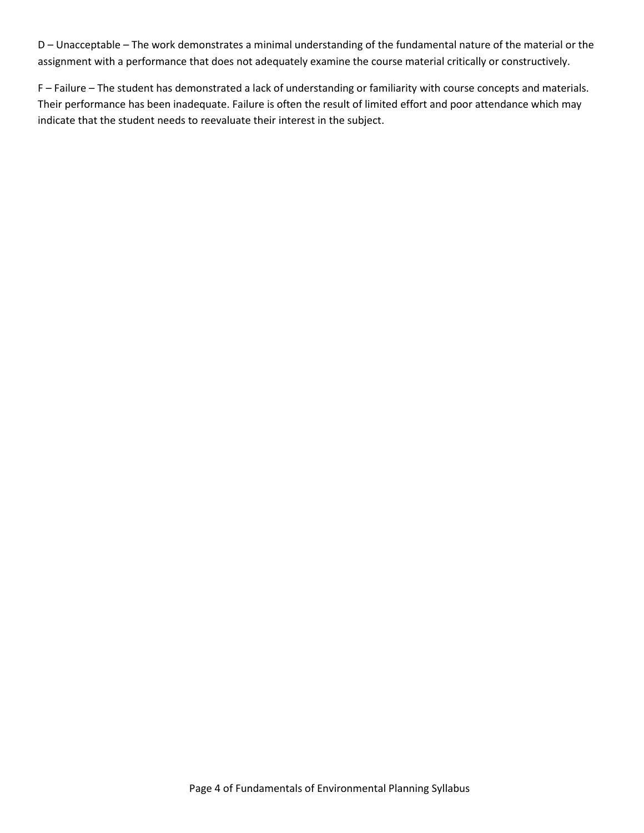D – Unacceptable – The work demonstrates a minimal understanding of the fundamental nature of the material or the assignment with a performance that does not adequately examine the course material critically or constructively.

F – Failure – The student has demonstrated a lack of understanding or familiarity with course concepts and materials. Their performance has been inadequate. Failure is often the result of limited effort and poor attendance which may indicate that the student needs to reevaluate their interest in the subject.